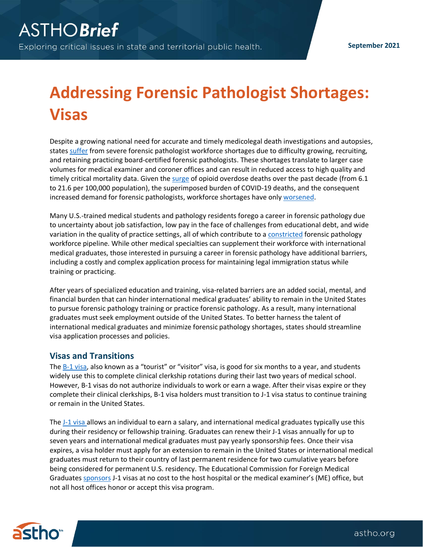## **Addressing Forensic Pathologist Shortages: Visas**

Despite a growing national need for accurate and timely medicolegal death investigations and autopsies, states [suffer](https://www.justice.gov/archives/ncfs/page/file/641641/download) from severe forensic pathologist workforce shortages due to difficulty growing, recruiting, and retaining practicing board-certified forensic pathologists. These shortages translate to larger case volumes for medical examiner and coroner offices and can result in reduced access to high quality and timely critical mortality data. Given the [surge](https://www.tfah.org/article/drug-death-rates-continue-rise-during-pandemic/) of opioid overdose deaths over the past decade (from 6.1 to 21.6 per 100,000 population), the superimposed burden of COVID-19 deaths, and the consequent increased demand for forensic pathologists, workforce shortages have only [worsened.](https://www.astho.org/generickey/GenericKeyDetails.aspx?id=20515&terms=forensic+pathology)

Many U.S.-trained medical students and pathology residents forego a career in forensic pathology due to uncertainty about job satisfaction, low pay in the face of challenges from educational debt, and wide variation in the quality of practice settings, all of which contribute to a [constricted](https://www.thename.org/assets/docs/ReclaimingAutopsy_Weedn_AmJForMedPath_2020.pdf) forensic pathology workforce pipeline. While other medical specialties can supplement their workforce with international medical graduates, those interested in pursuing a career in forensic pathology have additional barriers, including a costly and complex application process for maintaining legal immigration status while training or practicing.

After years of specialized education and training, visa-related barriers are an added social, mental, and financial burden that can hinder international medical graduates' ability to remain in the United States to pursue forensic pathology training or practice forensic pathology. As a result, many international graduates must seek employment outside of the United States. To better harness the talent of international medical graduates and minimize forensic pathology shortages, states should streamline visa application processes and policies.

## **Visas and Transitions**

The  $B-1$  visa, also known as a "tourist" or "visitor" visa, is good for six months to a year, and students widely use this to complete clinical clerkship rotations during their last two years of medical school. However, B-1 visas do not authorize individuals to work or earn a wage. After their visas expire or they complete their clinical clerkships, B-1 visa holders must transition to J-1 visa status to continue training or remain in the United States.

The [J-1 visa](https://j1visa.state.gov/) allows an individual to earn a salary, and international medical graduates typically use this during their residency or fellowship training. Graduates can renew their J-1 visas annually for up to seven years and international medical graduates must pay yearly sponsorship fees. Once their visa expires, a visa holder must apply for an extension to remain in the United States or international medical graduates must return to their country of last permanent residence for two cumulative years before being considered for permanent U.S. residency. The Educational Commission for Foreign Medical Graduates [sponsors](https://j1visa.state.gov/sponsors/) J-1 visas at no cost to the host hospital or the medical examiner's (ME) office, but not all host offices honor or accept this visa program.